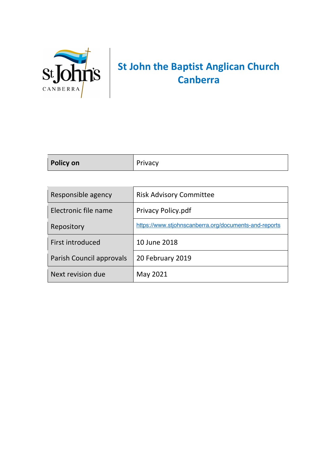

# **St John the Baptist Anglican Church Canberra**

| <b>Policy on</b> | <b>Privacy</b> |
|------------------|----------------|
|                  |                |

| Responsible agency       | <b>Risk Advisory Committee</b>                        |
|--------------------------|-------------------------------------------------------|
| Electronic file name     | <b>Privacy Policy.pdf</b>                             |
| Repository               | https://www.stjohnscanberra.org/documents-and-reports |
| First introduced         | 10 June 2018                                          |
| Parish Council approvals | 20 February 2019                                      |
| Next revision due        | May 2021                                              |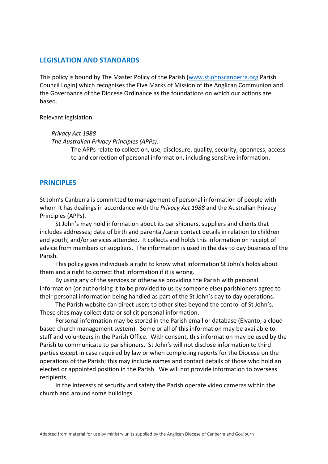# **LEGISLATION AND STANDARDS**

This policy is bound by The Master Policy of the Parish (www.stjohnscanberra.org Parish Council Login) which recognises the Five Marks of Mission of the Anglican Communion and the Governance of the Diocese Ordinance as the foundations on which our actions are based.

Relevant legislation:

*Privacy Act 1988*

*The Australian Privacy Principles (APPs).*

The APPs relate to collection, use, disclosure, quality, security, openness, access to and correction of personal information, including sensitive information.

#### **PRINCIPLES**

St John's Canberra is committed to management of personal information of people with whom it has dealings in accordance with the *Privacy Act 1988* and the Australian Privacy Principles (APPs).

St John's may hold information about its parishioners, suppliers and clients that includes addresses; date of birth and parental/carer contact details in relation to children and youth; and/or services attended. It collects and holds this information on receipt of advice from members or suppliers. The information is used in the day to day business of the Parish.

This policy gives individuals a right to know what information St John's holds about them and a right to correct that information if it is wrong.

By using any of the services or otherwise providing the Parish with personal information (or authorising it to be provided to us by someone else) parishioners agree to their personal information being handled as part of the St John's day to day operations.

The Parish website can direct users to other sites beyond the control of St John's. These sites may collect data or solicit personal information.

Personal information may be stored in the Parish email or database (Elvanto, a cloudbased church management system). Some or all of this information may be available to staff and volunteers in the Parish Office. With consent, this information may be used by the Parish to communicate to parishioners. St John's will not disclose information to third parties except in case required by law or when completing reports for the Diocese on the operations of the Parish; this may include names and contact details of those who hold an elected or appointed position in the Parish. We will not provide information to overseas recipients.

In the interests of security and safety the Parish operate video cameras within the church and around some buildings.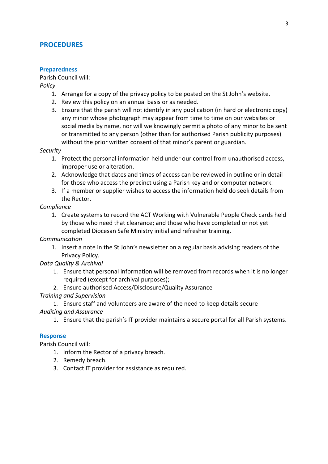# **PROCEDURES**

#### **Preparedness**

Parish Council will:

*Policy*

- 1. Arrange for a copy of the privacy policy to be posted on the St John's website.
- 2. Review this policy on an annual basis or as needed.
- 3. Ensure that the parish will not identify in any publication (in hard or electronic copy) any minor whose photograph may appear from time to time on our websites or social media by name, nor will we knowingly permit a photo of any minor to be sent or transmitted to any person (other than for authorised Parish publicity purposes) without the prior written consent of that minor's parent or guardian.

#### *Security*

- 1. Protect the personal information held under our control from unauthorised access, improper use or alteration.
- 2. Acknowledge that dates and times of access can be reviewed in outline or in detail for those who access the precinct using a Parish key and or computer network.
- 3. If a member or supplier wishes to access the information held do seek details from the Rector.

#### *Compliance*

1. Create systems to record the ACT Working with Vulnerable People Check cards held by those who need that clearance; and those who have completed or not yet completed Diocesan Safe Ministry initial and refresher training.

*Communication*

1. Insert a note in the St John's newsletter on a regular basis advising readers of the Privacy Policy.

# *Data Quality & Archival*

- 1. Ensure that personal information will be removed from records when it is no longer required (except for archival purposes);
- 2. Ensure authorised Access/Disclosure/Quality Assurance

# *Training and Supervision*

1. Ensure staff and volunteers are aware of the need to keep details secure *Auditing and Assurance*

1. Ensure that the parish's IT provider maintains a secure portal for all Parish systems.

# **Response**

Parish Council will:

- 1. Inform the Rector of a privacy breach.
- 2. Remedy breach.
- 3. Contact IT provider for assistance as required.